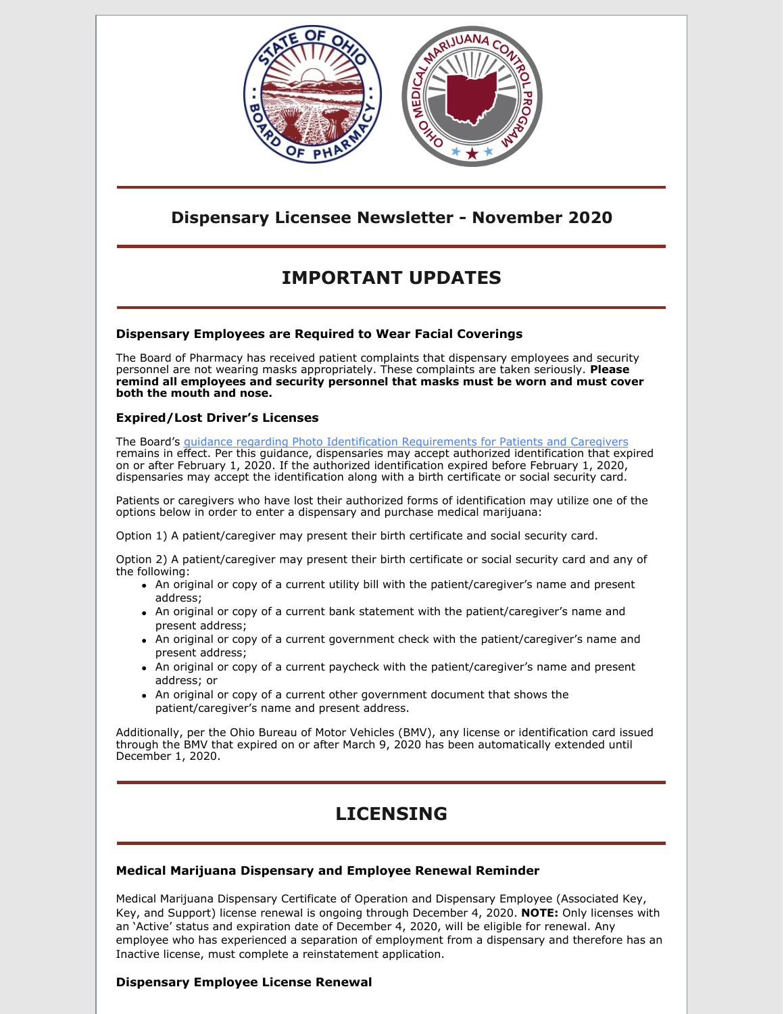

## **Dispensary Licensee Newsletter - November 2020**

# **IMPORTANT UPDATES**

## **Dispensary Employees are Required to Wear Facial Coverings**

The Board of Pharmacy has received patient complaints that dispensary employees and security personnel are not wearing masks appropriately. These complaints are taken seriously. **Please remind all employees and security personnel that masks must be worn and must cover both the mouth and nose.**

### **Expired/Lost Driver's Licenses**

The Board's guidance regarding Photo Identification [Requirements](https://www.medicalmarijuana.ohio.gov/Documents/CoronaVirus/Photo Identification Requirements for Patients and Caregivers.pdf) for Patients and Caregivers remains in effect. Per this guidance, dispensaries may accept authorized identification that expired on or after February 1, 2020. If the authorized identification expired before February 1, 2020, dispensaries may accept the identification along with a birth certificate or social security card.

Patients or caregivers who have lost their authorized forms of identification may utilize one of the options below in order to enter a dispensary and purchase medical marijuana:

Option 1) A patient/caregiver may present their birth certificate and social security card.

Option 2) A patient/caregiver may present their birth certificate or social security card and any of the following:

- An original or copy of a current utility bill with the patient/caregiver's name and present address;
- An original or copy of a current bank statement with the patient/caregiver's name and present address;
- An original or copy of a current government check with the patient/caregiver's name and present address;
- An original or copy of a current paycheck with the patient/caregiver's name and present address; or
- An original or copy of a current other government document that shows the patient/caregiver's name and present address.

Additionally, per the Ohio Bureau of Motor Vehicles (BMV), any license or identification card issued through the BMV that expired on or after March 9, 2020 has been automatically extended until December 1, 2020.

# **LICENSING**

### **Medical Marijuana Dispensary and Employee Renewal Reminder**

Medical Marijuana Dispensary Certificate of Operation and Dispensary Employee (Associated Key, Key, and Support) license renewal is ongoing through December 4, 2020. **NOTE:** Only licenses with an 'Active' status and expiration date of December 4, 2020, will be eligible for renewal. Any employee who has experienced a separation of employment from a dispensary and therefore has an Inactive license, must complete a reinstatement application.

## **Dispensary Employee License Renewal**